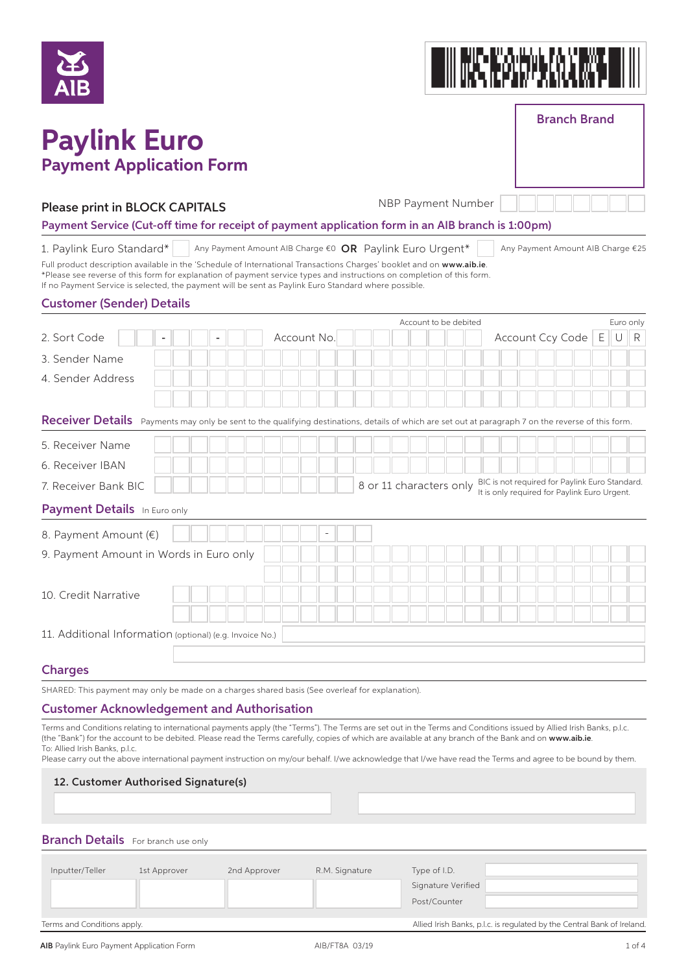| ZES' |  |
|------|--|
| AIB  |  |



## **Paylink Euro Payment Application Form**

Branch Brand

| NBP Payment Num |  |
|-----------------|--|
|-----------------|--|

#### Please print in BLOCK CAPITALS

nber

#### Payment Service (Cut-off time for receipt of payment application form in an AIB branch is 1:00pm)

1. Paylink Euro Standard\* Any Payment Amount AIB Charge  $\epsilon$ 0 **OR** Paylink Euro Urgent<sup>\*</sup> | Any Payment Amount AIB Charge  $\epsilon$ 25

Full product description available in the 'Schedule of International Transactions Charges' booklet and on www.aib.ie. \*Please see reverse of this form for explanation of payment service types and instructions on completion of this form. If no Payment Service is selected, the payment will be sent as Paylink Euro Standard where possible.

#### Customer (Sender) Details

|                                                                                                                                                     | Account to be debited                                                                                                     | Euro only |
|-----------------------------------------------------------------------------------------------------------------------------------------------------|---------------------------------------------------------------------------------------------------------------------------|-----------|
| Account No.<br>2. Sort Code                                                                                                                         | Account Ccy Code   E                                                                                                      | R<br>U    |
| 3. Sender Name                                                                                                                                      |                                                                                                                           |           |
| 4. Sender Address                                                                                                                                   |                                                                                                                           |           |
|                                                                                                                                                     |                                                                                                                           |           |
| Receiver Details Payments may only be sent to the qualifying destinations, details of which are set out at paragraph 7 on the reverse of this form. |                                                                                                                           |           |
| 5. Receiver Name                                                                                                                                    |                                                                                                                           |           |
| 6. Receiver IBAN                                                                                                                                    |                                                                                                                           |           |
| 7. Receiver Bank BIC                                                                                                                                | BIC is not required for Paylink Euro Standard.<br>8 or 11 characters only<br>It is only required for Paylink Euro Urgent. |           |
| <b>Payment Details</b> In Euro only                                                                                                                 |                                                                                                                           |           |
| 8. Payment Amount (€)<br>$\overline{a}$                                                                                                             |                                                                                                                           |           |
| 9. Payment Amount in Words in Euro only                                                                                                             |                                                                                                                           |           |
|                                                                                                                                                     |                                                                                                                           |           |
| 10. Credit Narrative                                                                                                                                |                                                                                                                           |           |
|                                                                                                                                                     |                                                                                                                           |           |
| 11. Additional Information (optional) (e.g. Invoice No.)                                                                                            |                                                                                                                           |           |
|                                                                                                                                                     |                                                                                                                           |           |
| <b>Charges</b>                                                                                                                                      |                                                                                                                           |           |

SHARED: This payment may only be made on a charges shared basis (See overleaf for explanation).

#### Customer Acknowledgement and Authorisation

Terms and Conditions relating to international payments apply (the "Terms"). The Terms are set out in the Terms and Conditions issued by Allied Irish Banks, p.l.c. (the "Bank") for the account to be debited. Please read the Terms carefully, copies of which are available at any branch of the Bank and on www.aib.ie To: Allied Irish Banks, p.l.c.

Please carry out the above international payment instruction on my/our behalf. I/we acknowledge that I/we have read the Terms and agree to be bound by them.

#### 12. Customer Authorised Signature(s)

#### **Branch Details** For branch use only

| Inputter/Teller             | 1st Approver | 2nd Approver | R.M. Signature | Type of I.D.                                                            |
|-----------------------------|--------------|--------------|----------------|-------------------------------------------------------------------------|
|                             |              |              |                | Signature Verified                                                      |
|                             |              |              |                | Post/Counter                                                            |
| Terms and Conditions apply. |              |              |                | Allied Irish Banks, p.l.c. is regulated by the Central Bank of Ireland. |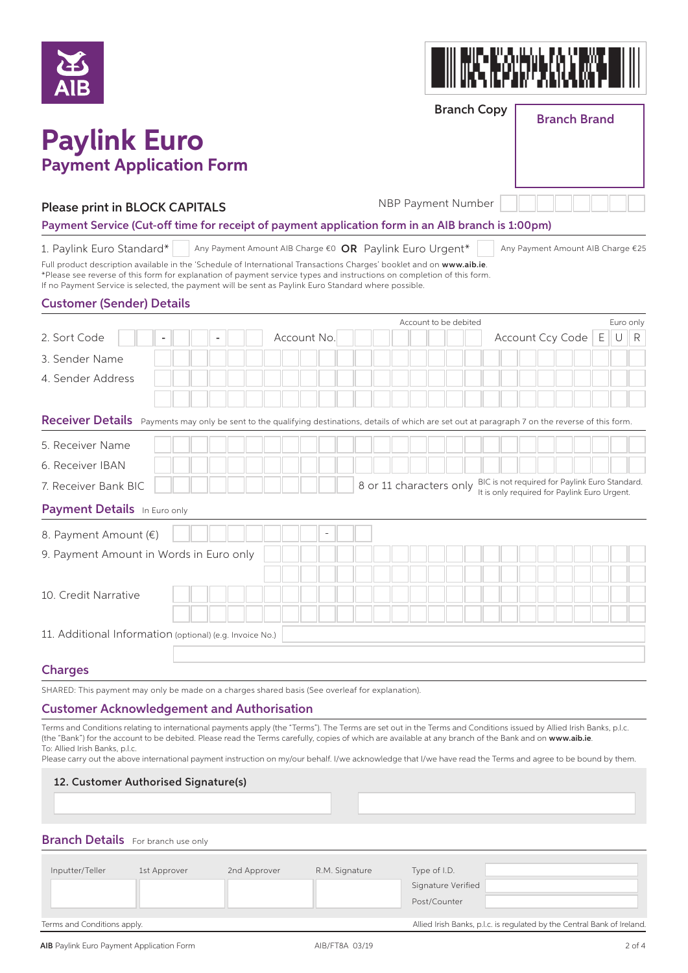

# ▓▌▀▄▐▝▞▃▜▜▝▄▚▖▙▜▐▘▞▜<br>▟▞▀▕▌▀▟▞▙▚▚▜▞▞▟▕▘▙▝▞▌

Branch Copy

Branch Brand

## **Paylink Euro Payment Application Form**

#### Please print in BLOCK CAPITALS

NBP Payment Number

Payment Service (Cut-off time for receipt of payment application form in an AIB branch is 1:00pm)

1. Paylink Euro Standard\* Any Payment Amount AIB Charge  $\epsilon$ 0 **OR** Paylink Euro Urgent<sup>\*</sup> | Any Payment Amount AIB Charge  $\epsilon$ 25

Full product description available in the 'Schedule of International Transactions Charges' booklet and on www.aib.ie. \*Please see reverse of this form for explanation of payment service types and instructions on completion of this form. If no Payment Service is selected, the payment will be sent as Paylink Euro Standard where possible.

#### Customer (Sender) Details

|                                                                                                                                                     |             | Account to be debited   |                                                                                                | Euro only |
|-----------------------------------------------------------------------------------------------------------------------------------------------------|-------------|-------------------------|------------------------------------------------------------------------------------------------|-----------|
| 2. Sort Code                                                                                                                                        | Account No. |                         | Account Ccy Code   E                                                                           | R<br>U    |
| 3. Sender Name                                                                                                                                      |             |                         |                                                                                                |           |
| 4. Sender Address                                                                                                                                   |             |                         |                                                                                                |           |
|                                                                                                                                                     |             |                         |                                                                                                |           |
| Receiver Details Payments may only be sent to the qualifying destinations, details of which are set out at paragraph 7 on the reverse of this form. |             |                         |                                                                                                |           |
| 5. Receiver Name                                                                                                                                    |             |                         |                                                                                                |           |
| 6. Receiver IBAN                                                                                                                                    |             |                         |                                                                                                |           |
| 7. Receiver Bank BIC                                                                                                                                |             | 8 or 11 characters only | BIC is not required for Paylink Euro Standard.<br>It is only required for Paylink Euro Urgent. |           |
| <b>Payment Details</b> In Euro only                                                                                                                 |             |                         |                                                                                                |           |
| 8. Payment Amount (€)                                                                                                                               |             |                         |                                                                                                |           |
| 9. Payment Amount in Words in Euro only                                                                                                             |             |                         |                                                                                                |           |
|                                                                                                                                                     |             |                         |                                                                                                |           |
| 10. Credit Narrative                                                                                                                                |             |                         |                                                                                                |           |
|                                                                                                                                                     |             |                         |                                                                                                |           |
| 11. Additional Information (optional) (e.g. Invoice No.)                                                                                            |             |                         |                                                                                                |           |
|                                                                                                                                                     |             |                         |                                                                                                |           |
| <b>Charges</b>                                                                                                                                      |             |                         |                                                                                                |           |

SHARED: This payment may only be made on a charges shared basis (See overleaf for explanation).

#### Customer Acknowledgement and Authorisation

Terms and Conditions relating to international payments apply (the "Terms"). The Terms are set out in the Terms and Conditions issued by Allied Irish Banks, p.l.c. (the "Bank") for the account to be debited. Please read the Terms carefully, copies of which are available at any branch of the Bank and on www.aib.ie To: Allied Irish Banks, p.l.c.

Please carry out the above international payment instruction on my/our behalf. I/we acknowledge that I/we have read the Terms and agree to be bound by them.

#### 12. Customer Authorised Signature(s)

#### **Branch Details** For branch use only

| Inputter/Teller             | 1st Approver | 2nd Approver | R.M. Signature | Type of I.D.                                                            |
|-----------------------------|--------------|--------------|----------------|-------------------------------------------------------------------------|
|                             |              |              |                | Signature Verified                                                      |
|                             |              |              |                | Post/Counter                                                            |
|                             |              |              |                |                                                                         |
| Terms and Conditions apply. |              |              |                | Allied Irish Banks, p.l.c. is regulated by the Central Bank of Ireland. |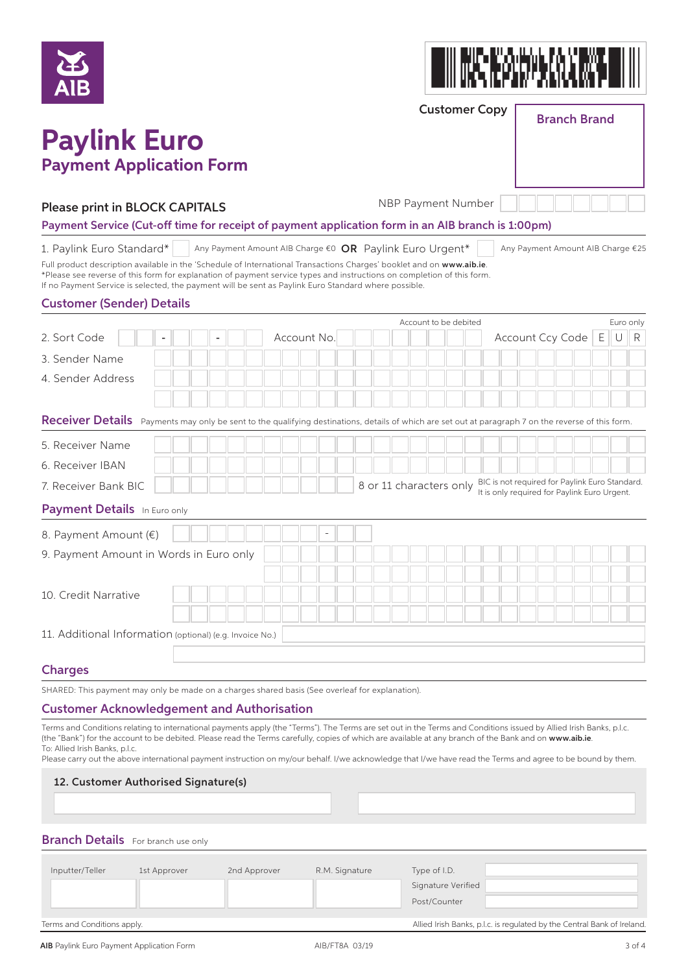



Customer Copy

### Branch Brand

## **Paylink Euro Payment Application Form**

#### Please print in BLOCK CAPITALS

NBP Payment Number

Payment Service (Cut-off time for receipt of payment application form in an AIB branch is 1:00pm)

1. Paylink Euro Standard\* Any Payment Amount AIB Charge  $\varepsilon$ 0 **OR** Paylink Euro Urgent<sup>\*</sup> Any Payment Amount AIB Charge  $\varepsilon$ 25

Full product description available in the 'Schedule of International Transactions Charges' booklet and on www.aib.ie. \*Please see reverse of this form for explanation of payment service types and instructions on completion of this form. If no Payment Service is selected, the payment will be sent as Paylink Euro Standard where possible.

#### Customer (Sender) Details

|                                                                                                                                                     |  |  |             |  |                         |  |  | Account to be debited |  |  |                                                                                                | Euro only |   |
|-----------------------------------------------------------------------------------------------------------------------------------------------------|--|--|-------------|--|-------------------------|--|--|-----------------------|--|--|------------------------------------------------------------------------------------------------|-----------|---|
| 2. Sort Code                                                                                                                                        |  |  | Account No. |  |                         |  |  |                       |  |  | Account Ccy Code   E                                                                           | U         | R |
| 3. Sender Name                                                                                                                                      |  |  |             |  |                         |  |  |                       |  |  |                                                                                                |           |   |
| 4. Sender Address                                                                                                                                   |  |  |             |  |                         |  |  |                       |  |  |                                                                                                |           |   |
|                                                                                                                                                     |  |  |             |  |                         |  |  |                       |  |  |                                                                                                |           |   |
| Receiver Details Payments may only be sent to the qualifying destinations, details of which are set out at paragraph 7 on the reverse of this form. |  |  |             |  |                         |  |  |                       |  |  |                                                                                                |           |   |
| 5. Receiver Name                                                                                                                                    |  |  |             |  |                         |  |  |                       |  |  |                                                                                                |           |   |
| 6. Receiver IBAN                                                                                                                                    |  |  |             |  |                         |  |  |                       |  |  |                                                                                                |           |   |
| 7. Receiver Bank BIC                                                                                                                                |  |  |             |  | 8 or 11 characters only |  |  |                       |  |  | BIC is not required for Paylink Euro Standard.<br>It is only required for Paylink Euro Urgent. |           |   |
| <b>Payment Details</b> In Euro only                                                                                                                 |  |  |             |  |                         |  |  |                       |  |  |                                                                                                |           |   |
| 8. Payment Amount (€)                                                                                                                               |  |  |             |  |                         |  |  |                       |  |  |                                                                                                |           |   |
| 9. Payment Amount in Words in Euro only                                                                                                             |  |  |             |  |                         |  |  |                       |  |  |                                                                                                |           |   |
|                                                                                                                                                     |  |  |             |  |                         |  |  |                       |  |  |                                                                                                |           |   |
| 10. Credit Narrative                                                                                                                                |  |  |             |  |                         |  |  |                       |  |  |                                                                                                |           |   |
|                                                                                                                                                     |  |  |             |  |                         |  |  |                       |  |  |                                                                                                |           |   |
| 11. Additional Information (optional) (e.g. Invoice No.)                                                                                            |  |  |             |  |                         |  |  |                       |  |  |                                                                                                |           |   |
|                                                                                                                                                     |  |  |             |  |                         |  |  |                       |  |  |                                                                                                |           |   |
| <b>Charges</b>                                                                                                                                      |  |  |             |  |                         |  |  |                       |  |  |                                                                                                |           |   |

SHARED: This payment may only be made on a charges shared basis (See overleaf for explanation).

#### Customer Acknowledgement and Authorisation

Terms and Conditions relating to international payments apply (the "Terms"). The Terms are set out in the Terms and Conditions issued by Allied Irish Banks, p.l.c. (the "Bank") for the account to be debited. Please read the Terms carefully, copies of which are available at any branch of the Bank and on www.aib.ie To: Allied Irish Banks, p.l.c.

Please carry out the above international payment instruction on my/our behalf. I/we acknowledge that I/we have read the Terms and agree to be bound by them.

#### 12. Customer Authorised Signature(s)

#### **Branch Details** For branch use only

| Inputter/Teller             | 1st Approver | 2nd Approver                                                            | R.M. Signature | Type of I.D.       |
|-----------------------------|--------------|-------------------------------------------------------------------------|----------------|--------------------|
|                             |              |                                                                         |                | Signature Verified |
|                             |              |                                                                         |                | Post/Counter       |
|                             |              |                                                                         |                |                    |
| Terms and Conditions apply. |              | Allied Irish Banks, p.l.c. is regulated by the Central Bank of Ireland. |                |                    |